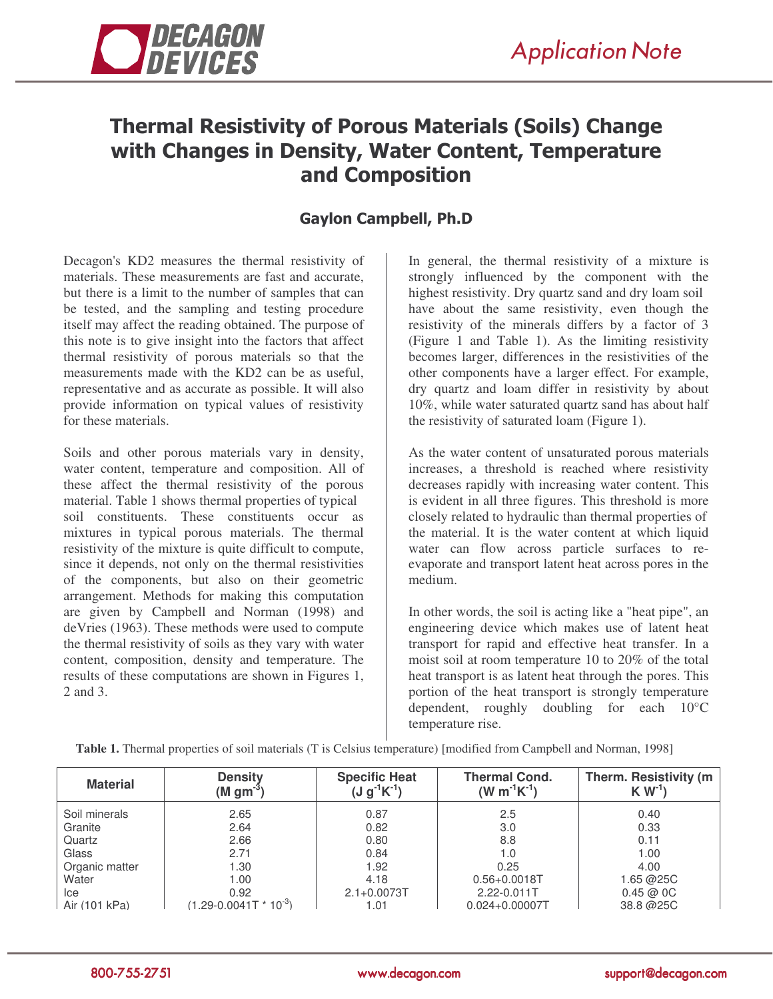

## Thermal Resistivity of Porous Materials (Soils) Change with Changes in Density, Water Content, Temperature and Composition

## **Gaylon Campbell, Ph.D**

Decagon's KD2 measures the thermal resistivity of materials. These measurements are fast and accurate, but there is a limit to the number of samples that can be tested, and the sampling and testing procedure itself may affect the reading obtained. The purpose of this note is to give insight into the factors that affect thermal resistivity of porous materials so that the measurements made with the KD2 can be as useful, representative and as accurate as possible. It will also provide information on typical values of resistivity for these materials.

Soils and other porous materials vary in density, water content, temperature and composition. All of these affect the thermal resistivity of the porous material. Table 1 shows thermal properties of typical soil constituents. These constituents occur as mixtures in typical porous materials. The thermal resistivity of the mixture is quite difficult to compute, since it depends, not only on the thermal resistivities of the components, but also on their geometric arrangement. Methods for making this computation are given by Campbell and Norman (1998) and deVries (1963). These methods were used to compute the thermal resistivity of soils as they vary with water content, composition, density and temperature. The results of these computations are shown in Figures 1, 2 and 3.

In general, the thermal resistivity of a mixture is strongly influenced by the component with the highest resistivity. Dry quartz sand and dry loam soil have about the same resistivity, even though the resistivity of the minerals differs by a factor of 3 (Figure 1 and Table 1). As the limiting resistivity becomes larger, differences in the resistivities of the other components have a larger effect. For example, dry quartz and loam differ in resistivity by about 10%, while water saturated quartz sand has about half the resistivity of saturated loam (Figure 1).

As the water content of unsaturated porous materials increases, a threshold is reached where resistivity decreases rapidly with increasing water content. This is evident in all three figures. This threshold is more closely related to hydraulic than thermal properties of the material. It is the water content at which liquid water can flow across particle surfaces to reevaporate and transport latent heat across pores in the medium.

In other words, the soil is acting like a "heat pipe", an engineering device which makes use of latent heat transport for rapid and effective heat transfer. In a moist soil at room temperature 10 to 20% of the total heat transport is as latent heat through the pores. This portion of the heat transport is strongly temperature dependent, roughly doubling for each 10°C temperature rise.

| <b>Material</b> | <b>Density</b><br>$(M \text{ gm}^{-3})$ | <b>Specific Heat</b><br>$(J g^{-1} K^{-1})$ | <b>Thermal Cond.</b><br>$(W m^{-1} K^{-1})$ | Therm. Resistivity (m)<br>$K W-1$ |
|-----------------|-----------------------------------------|---------------------------------------------|---------------------------------------------|-----------------------------------|
| Soil minerals   | 2.65                                    | 0.87                                        | 2.5                                         | 0.40                              |
| Granite         | 2.64                                    | 0.82                                        | 3.0                                         | 0.33                              |
| Quartz          | 2.66                                    | 0.80                                        | 8.8                                         | 0.11                              |
| Glass           | 2.71                                    | 0.84                                        | 1.0                                         | 1.00                              |
| Organic matter  | 1.30                                    | 1.92                                        | 0.25                                        | 4.00                              |
| Water           | 1.00                                    | 4.18                                        | $0.56 + 0.0018$ T                           | 1.65 @25C                         |
| Ice             | 0.92                                    | $2.1 + 0.0073T$                             | 2.22-0.011T                                 | 0.45@0C                           |
| Air (101 kPa)   | $(1.29 - 0.0041T * 10^{-3})$            | 1.01                                        | $0.024 + 0.00007$                           | 38.8 @ 25C                        |

**Table 1.** Thermal properties of soil materials (T is Celsius temperature) [modified from Campbell and Norman, 1998]